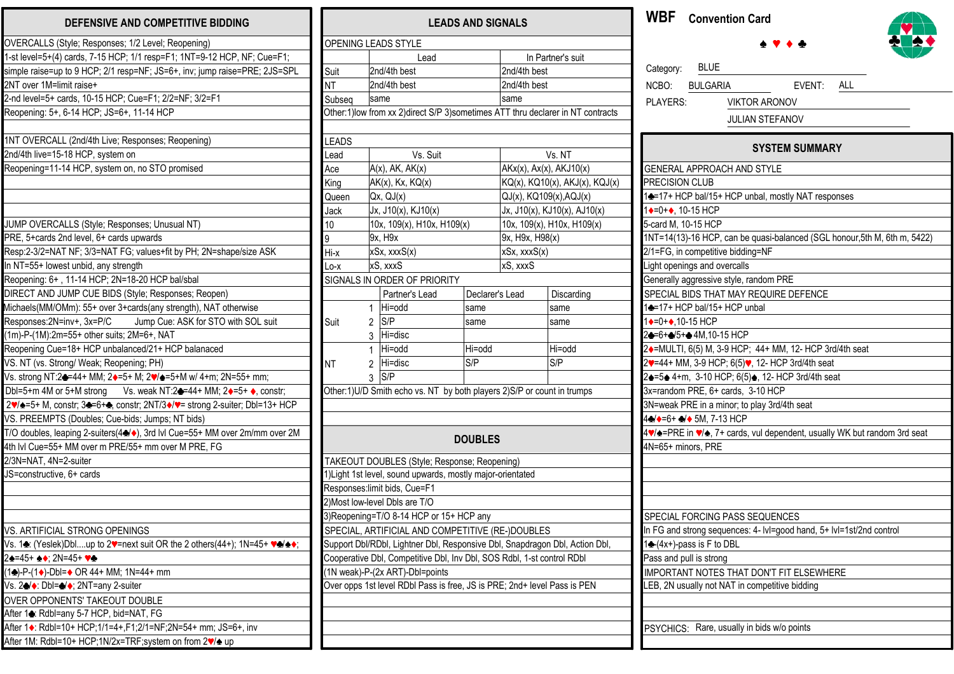| DEFENSIVE AND COMPETITIVE BIDDING                                                                                               |                        |                        |
|---------------------------------------------------------------------------------------------------------------------------------|------------------------|------------------------|
| OVERCALLS (Style; Responses; 1/2 Level; Reopening)                                                                              |                        | OPENING LEADS          |
| 1-st level=5+(4) cards, 7-15 HCP; 1/1 resp=F1; 1NT=9-12 HCP, NF; Cue=F1;                                                        |                        |                        |
| simple raise=up to 9 HCP; 2/1 resp=NF; JS=6+, inv; jump raise=PRE; 2JS=SPL                                                      | Suit                   | 2nd/4th                |
| 2NT over 1M=limit raise+                                                                                                        | <b>NT</b>              | 2nd/4th                |
| 2-nd level=5+ cards, 10-15 HCP; Cue=F1; 2/2=NF; 3/2=F1                                                                          | Subseq                 | same                   |
| Reopening: 5+, 6-14 HCP; JS=6+, 11-14 HCP                                                                                       | Other:1) low from xx   |                        |
|                                                                                                                                 |                        |                        |
| 1NT OVERCALL (2nd/4th Live; Responses; Reopening)                                                                               | <b>LEADS</b>           |                        |
| 2nd/4th live=15-18 HCP, system on                                                                                               | Lead                   |                        |
| Reopening=11-14 HCP, system on, no STO promised                                                                                 | Ace                    | $A(x)$ , Al            |
|                                                                                                                                 | King                   | $AK(x)$ , I            |
|                                                                                                                                 | Queen                  | Qx, QJ                 |
|                                                                                                                                 | Jack                   | Jx, J10                |
| JUMP OVERCALLS (Style; Responses; Unusual NT)                                                                                   | 10                     | 10x, 10                |
| PRE, 5+cards 2nd level, 6+ cards upwards                                                                                        | 9                      | 9x, H9>                |
| Resp:2-3/2=NAT NF; 3/3=NAT FG; values+fit by PH; 2N=shape/size ASK                                                              | Hi-x                   | xSx, xx                |
| In NT=55+ lowest unbid, any strength                                                                                            | Lo-x                   | xS, xxx                |
| Reopening: 6+, 11-14 HCP; 2N=18-20 HCP bal/sbal                                                                                 |                        | SIGNALS IN ORDE        |
| DIRECT AND JUMP CUE BIDS (Style; Responses; Reopen)                                                                             |                        | Par                    |
| Michaels(MM/OMm): 55+ over 3+cards(any strength), NAT otherwise                                                                 |                        | Hi=c<br>$\mathbf 1$    |
| Responses:2N=inv+, 3x=P/C<br>Jump Cue: ASK for STO with SOL suit                                                                | Suit                   | S/P<br>2               |
| (1m)-P-(1M):2m=55+ other suits; 2M=6+, NAT                                                                                      |                        | Hi=c<br>3              |
| Reopening Cue=18+ HCP unbalanced/21+ HCP balanaced                                                                              |                        | Hi=o<br>$\mathbf{1}$   |
| VS. NT (vs. Strong/ Weak; Reopening; PH)                                                                                        | <b>NT</b>              | Hi=c<br>$\overline{2}$ |
| Vs. strong NT:2♣=44+ MM; 2♦=5+ M; 2♥/♠=5+M w/ 4+m; 2N=55+ mm;                                                                   |                        | S/P<br>3               |
| Dbl=5+m 4M or 5+M strong Vs. weak NT:2→44+ MM; 2→=5+ →, constr;                                                                 | Other:1)U/D Smith (    |                        |
| 2V/ $\triangle$ =5+ M, constr; 3 <sup>2</sup> =6+ $\triangleq$ , constr; 2NT/3 $\triangleleft$ /V= strong 2-suiter; DbI=13+ HCP |                        |                        |
| VS. PREEMPTS (Doubles; Cue-bids; Jumps; NT bids)                                                                                |                        |                        |
| T/O doubles, leaping 2-suiters(4→), 3rd IvI Cue=55+ MM over 2m/mm over 2M                                                       |                        |                        |
| 4th IvI Cue=55+ MM over m PRE/55+ mm over M PRE, FG                                                                             |                        |                        |
| 2/3N=NAT, 4N=2-suiter                                                                                                           |                        | <b>TAKEOUT DOUBLI</b>  |
| JS=constructive, 6+ cards                                                                                                       | 1) Light 1st level, so |                        |
|                                                                                                                                 | Responses: limit bid   |                        |
|                                                                                                                                 | 2) Most low-level Db   |                        |
|                                                                                                                                 | 3)Reopening=T/O 8      |                        |
| VS. ARTIFICIAL STRONG OPENINGS                                                                                                  | SPECIAL, ARTIFIC       |                        |
| Vs. 1♣: (Yeslek)Dblup to 2♥=next suit OR the 2 others(44+); 1N=45+ ♥♣/♠♦;                                                       | Support Dbl/RDbl, L    |                        |
| 2♠=45+ ♠♦; 2N=45+ ♥♣                                                                                                            | Cooperative Dbl, Co    |                        |
| (1♣)-P-(1♠)-Dbl=♠ OR 44+ MM; 1N=44+ mm                                                                                          | (1N weak)-P-(2x AF     |                        |
| Vs. 24 : Dbl=4/+; 2NT=any 2-suiter                                                                                              | Over opps 1st level    |                        |
| OVER OPPONENTS' TAKEOUT DOUBLE                                                                                                  |                        |                        |
| After 1 <sup>2</sup> : Rdbl=any 5-7 HCP, bid=NAT, FG                                                                            |                        |                        |
| After 1 •: Rdbl=10+ HCP;1/1=4+, F1;2/1=NF;2N=54+ mm; JS=6+, inv                                                                 |                        |                        |
| After 1M: Rdbl=10+ HCP;1N/2x=TRF;system on from 2♥/▲ up                                                                         |                        |                        |
|                                                                                                                                 |                        |                        |

| <b>LEADS AND SIGNALS</b>                                                 |      |                                                                                |                 |                                 |                              |  |
|--------------------------------------------------------------------------|------|--------------------------------------------------------------------------------|-----------------|---------------------------------|------------------------------|--|
| OPENING LEADS STYLE                                                      |      |                                                                                |                 |                                 |                              |  |
|                                                                          | Lead |                                                                                |                 | In Partner's suit               |                              |  |
| Suit                                                                     |      | 2nd/4th best                                                                   |                 | 2nd/4th best                    |                              |  |
| ΝT                                                                       |      | 2nd/4th best                                                                   |                 | 2nd/4th best                    |                              |  |
| Subseq                                                                   |      | same                                                                           |                 | same                            |                              |  |
|                                                                          |      | Other:1)low from xx 2)direct S/P 3)sometimes ATT thru declarer in NT contracts |                 |                                 |                              |  |
|                                                                          |      |                                                                                |                 |                                 |                              |  |
| <b>LEADS</b>                                                             |      |                                                                                |                 |                                 |                              |  |
| Lead                                                                     |      | Vs. Suit                                                                       |                 | Vs. NT                          |                              |  |
| Ace                                                                      |      | $A(x)$ , $AK$ , $AK(x)$                                                        |                 | $AKx(x)$ , $Ax(x)$ , $AKJ10(x)$ |                              |  |
| King                                                                     |      | $AK(x)$ , $Kx$ , $KQ(x)$                                                       |                 | KQ(x), KQ10(x), AKJ(x), KQJ(x)  |                              |  |
| Queen                                                                    |      | Qx, QJ(x)                                                                      |                 | $QJ(x)$ , $KQ109(x)$ , $AQJ(x)$ |                              |  |
| Jack                                                                     |      | Jx, J10(x), KJ10(x)                                                            |                 |                                 | Jx, J10(x), KJ10(x), AJ10(x) |  |
| 10                                                                       |      | 10x, 109(x), H10x, H109(x)                                                     |                 |                                 | 10x, 109(x), H10x, H109(x)   |  |
| 9                                                                        |      | 9x, H9x                                                                        |                 | 9x, H9x, H98(x)                 |                              |  |
| Hi-x                                                                     |      | xSx, xxxS(x)                                                                   |                 | xSx, xxxS(x)                    |                              |  |
| Lo-x                                                                     |      | xS, xxxS                                                                       |                 | xS, xxxS                        |                              |  |
|                                                                          |      | SIGNALS IN ORDER OF PRIORITY                                                   |                 |                                 |                              |  |
|                                                                          |      | Partner's Lead                                                                 | Declarer's Lead |                                 | Discarding                   |  |
|                                                                          | 1    | Hi=odd                                                                         | same            |                                 | same                         |  |
| Suit                                                                     | 2    | S/P                                                                            | same            |                                 | same                         |  |
|                                                                          | 3    | Hi=disc                                                                        |                 |                                 |                              |  |
|                                                                          | 1    | Hi=odd                                                                         | Hi=odd          |                                 | Hi=odd                       |  |
| <b>NT</b>                                                                | 2    | Hi=disc                                                                        | S/P             |                                 | S/P                          |  |
|                                                                          | 3    | S/P                                                                            |                 |                                 |                              |  |
|                                                                          |      | Other:1)U/D Smith echo vs. NT by both players 2)S/P or count in trumps         |                 |                                 |                              |  |
|                                                                          |      |                                                                                |                 |                                 |                              |  |
|                                                                          |      |                                                                                |                 |                                 |                              |  |
|                                                                          |      |                                                                                |                 |                                 |                              |  |
|                                                                          |      |                                                                                | <b>DOUBLES</b>  |                                 |                              |  |
|                                                                          |      | TAKEOUT DOUBLES (Style; Response; Reopening)                                   |                 |                                 |                              |  |
|                                                                          |      | 1) Light 1st level, sound upwards, mostly major-orientated                     |                 |                                 |                              |  |
|                                                                          |      | Responses: limit bids, Cue=F1                                                  |                 |                                 |                              |  |
|                                                                          |      | 2) Most low-level Dbls are T/O                                                 |                 |                                 |                              |  |
| 3)Reopening=T/O 8-14 HCP or 15+ HCP any                                  |      |                                                                                |                 |                                 |                              |  |
| SPECIAL, ARTIFICIAL AND COMPETITIVE (RE-)DOUBLES                         |      |                                                                                |                 |                                 |                              |  |
|                                                                          |      | Support Dbl/RDbl, Lightner Dbl, Responsive Dbl, Snapdragon Dbl, Action Dbl,    |                 |                                 |                              |  |
| Cooperative Dbl, Competitive Dbl, Inv Dbl, SOS Rdbl, 1-st control RDbl   |      |                                                                                |                 |                                 |                              |  |
|                                                                          |      | (1N weak)-P-(2x ART)-Dbl=points                                                |                 |                                 |                              |  |
| Over opps 1st level RDbl Pass is free, JS is PRE; 2nd+ level Pass is PEN |      |                                                                                |                 |                                 |                              |  |
|                                                                          |      |                                                                                |                 |                                 |                              |  |
|                                                                          |      |                                                                                |                 |                                 |                              |  |
|                                                                          |      |                                                                                |                 |                                 |                              |  |
|                                                                          |      |                                                                                |                 |                                 |                              |  |

**WBF Convention Card**



| Category: BLUE          |                                                                                                  |
|-------------------------|--------------------------------------------------------------------------------------------------|
|                         | NCBO: BULGARIA<br>EVENT: ALL                                                                     |
| PI AYFRS:               | <b>VIKTOR ARONOV</b>                                                                             |
|                         | <b>JULIAN STEFANOV</b>                                                                           |
|                         |                                                                                                  |
|                         | <b>SYSTEM SUMMARY</b>                                                                            |
|                         | <b>GENERAL APPROACH AND STYLE</b>                                                                |
| PRECISION CLUB          |                                                                                                  |
|                         | 1 <sup>2</sup> / <sub>12</sub> + HCP bal/15+ HCP unbal, mostly NAT responses                     |
| 1+=0++, 10-15 HCP       |                                                                                                  |
| 5-card M, 10-15 HCP     |                                                                                                  |
|                         | 1NT=14(13)-16 HCP, can be quasi-balanced (SGL honour, 5th M, 6th m, 5422)                        |
|                         | 2/1=FG, in competitive bidding=NF                                                                |
|                         | Light openings and overcalls                                                                     |
|                         | Generally aggressive style, random PRE                                                           |
|                         | SPECIAL BIDS THAT MAY REQUIRE DEFENCE                                                            |
|                         | 1+17+ HCP bal/15+ HCP unbal                                                                      |
| 1+=0++,10-15 HCP        |                                                                                                  |
|                         | 24=6+4/5+4 4M, 10-15 HCP                                                                         |
|                         | 2+=MULTI, 6(5) M, 3-9 HCP; 44+ MM, 12- HCP 3rd/4th seat                                          |
|                         | 2♥=44+ MM, 3-9 HCP; 6(5)♥, 12- HCP 3rd/4th seat                                                  |
|                         | 2≙=5≙ 4+m, 3-10 HCP; 6(5)≙, 12- HCP 3rd/4th seat                                                 |
|                         | 3x=random PRE, 6+ cards, 3-10 HCP                                                                |
|                         | 3N=weak PRE in a minor; to play 3rd/4th seat                                                     |
|                         | 4→+=6+ →+ 5M, 7-13 HCP                                                                           |
|                         | 4V/ $\triangle$ =PRE in V/ $\triangle$ , 7+ cards, vul dependent, usually WK but random 3rd seat |
| 4N=65+ minors, PRE      |                                                                                                  |
|                         |                                                                                                  |
|                         |                                                                                                  |
|                         | SPECIAL FORCING PASS SEQUENCES                                                                   |
|                         | In FG and strong sequences: 4- Ivl=good hand, 5+ Ivl=1st/2nd control                             |
|                         | 1← (4x+)-pass is F to DBL                                                                        |
| Pass and pull is strong |                                                                                                  |
|                         | IMPORTANT NOTES THAT DON'T FIT ELSEWHERE                                                         |
|                         | LEB, 2N usually not NAT in competitive bidding                                                   |
|                         |                                                                                                  |
|                         |                                                                                                  |
| PSYCHICS:               | Rare, usually in bids w/o points                                                                 |
|                         |                                                                                                  |

 $\bullet$  V  $\bullet$   $\bullet$